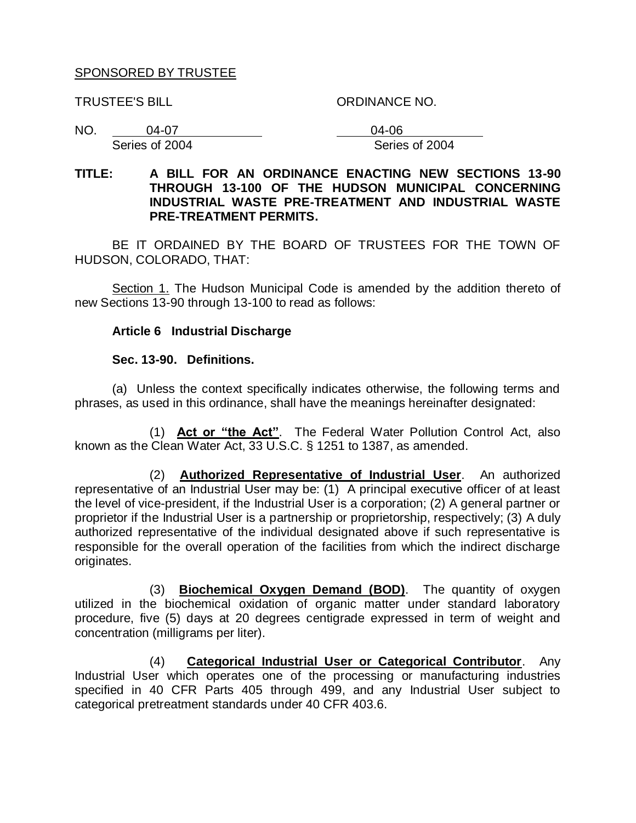### SPONSORED BY TRUSTEE

TRUSTEE'S BILL ORDINANCE NO.

NO. 04-07 04-06

Series of 2004 Series of 2004

### **TITLE: A BILL FOR AN ORDINANCE ENACTING NEW SECTIONS 13-90 THROUGH 13-100 OF THE HUDSON MUNICIPAL CONCERNING INDUSTRIAL WASTE PRE-TREATMENT AND INDUSTRIAL WASTE PRE-TREATMENT PERMITS.**

BE IT ORDAINED BY THE BOARD OF TRUSTEES FOR THE TOWN OF HUDSON, COLORADO, THAT:

Section 1. The Hudson Municipal Code is amended by the addition thereto of new Sections 13-90 through 13-100 to read as follows:

### **Article 6 Industrial Discharge**

#### **Sec. 13-90. Definitions.**

(a) Unless the context specifically indicates otherwise, the following terms and phrases, as used in this ordinance, shall have the meanings hereinafter designated:

(1) **Act or "the Act"**. The Federal Water Pollution Control Act, also known as the Clean Water Act, 33 U.S.C. § 1251 to 1387, as amended.

(2) **Authorized Representative of Industrial User**. An authorized representative of an Industrial User may be: (1) A principal executive officer of at least the level of vice-president, if the Industrial User is a corporation; (2) A general partner or proprietor if the Industrial User is a partnership or proprietorship, respectively; (3) A duly authorized representative of the individual designated above if such representative is responsible for the overall operation of the facilities from which the indirect discharge originates.

(3) **Biochemical Oxygen Demand (BOD)**. The quantity of oxygen utilized in the biochemical oxidation of organic matter under standard laboratory procedure, five (5) days at 20 degrees centigrade expressed in term of weight and concentration (milligrams per liter).

(4) **Categorical Industrial User or Categorical Contributor**. Any Industrial User which operates one of the processing or manufacturing industries specified in 40 CFR Parts 405 through 499, and any Industrial User subject to categorical pretreatment standards under 40 CFR 403.6.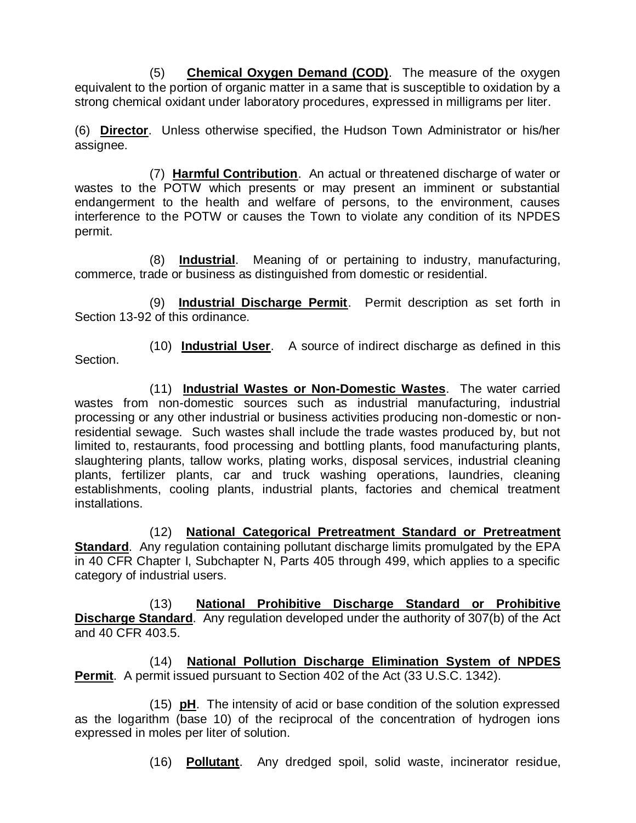(5) **Chemical Oxygen Demand (COD)**. The measure of the oxygen equivalent to the portion of organic matter in a same that is susceptible to oxidation by a strong chemical oxidant under laboratory procedures, expressed in milligrams per liter.

(6) **Director**. Unless otherwise specified, the Hudson Town Administrator or his/her assignee.

(7) **Harmful Contribution**. An actual or threatened discharge of water or wastes to the POTW which presents or may present an imminent or substantial endangerment to the health and welfare of persons, to the environment, causes interference to the POTW or causes the Town to violate any condition of its NPDES permit.

(8) **Industrial**. Meaning of or pertaining to industry, manufacturing, commerce, trade or business as distinguished from domestic or residential.

(9) **Industrial Discharge Permit**. Permit description as set forth in Section 13-92 of this ordinance.

(10) **Industrial User**. A source of indirect discharge as defined in this Section.

(11) **Industrial Wastes or Non-Domestic Wastes**. The water carried wastes from non-domestic sources such as industrial manufacturing, industrial processing or any other industrial or business activities producing non-domestic or nonresidential sewage. Such wastes shall include the trade wastes produced by, but not limited to, restaurants, food processing and bottling plants, food manufacturing plants, slaughtering plants, tallow works, plating works, disposal services, industrial cleaning plants, fertilizer plants, car and truck washing operations, laundries, cleaning establishments, cooling plants, industrial plants, factories and chemical treatment installations.

(12) **National Categorical Pretreatment Standard or Pretreatment Standard**. Any regulation containing pollutant discharge limits promulgated by the EPA in 40 CFR Chapter I, Subchapter N, Parts 405 through 499, which applies to a specific category of industrial users.

(13) **National Prohibitive Discharge Standard or Prohibitive Discharge Standard**. Any regulation developed under the authority of 307(b) of the Act and 40 CFR 403.5.

(14) **National Pollution Discharge Elimination System of NPDES Permit**. A permit issued pursuant to Section 402 of the Act (33 U.S.C. 1342).

(15) **pH**. The intensity of acid or base condition of the solution expressed as the logarithm (base 10) of the reciprocal of the concentration of hydrogen ions expressed in moles per liter of solution.

(16) **Pollutant**. Any dredged spoil, solid waste, incinerator residue,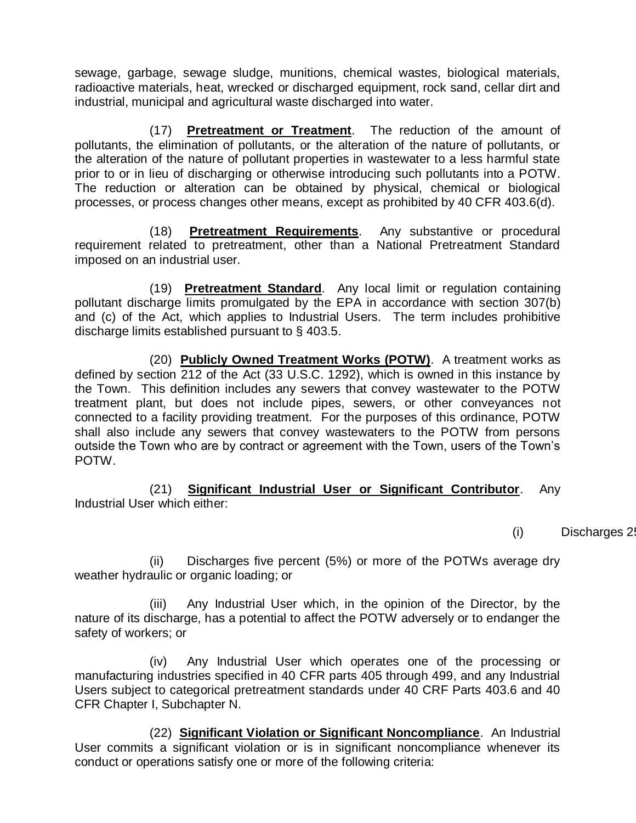sewage, garbage, sewage sludge, munitions, chemical wastes, biological materials, radioactive materials, heat, wrecked or discharged equipment, rock sand, cellar dirt and industrial, municipal and agricultural waste discharged into water.

(17) **Pretreatment or Treatment**. The reduction of the amount of pollutants, the elimination of pollutants, or the alteration of the nature of pollutants, or the alteration of the nature of pollutant properties in wastewater to a less harmful state prior to or in lieu of discharging or otherwise introducing such pollutants into a POTW. The reduction or alteration can be obtained by physical, chemical or biological processes, or process changes other means, except as prohibited by 40 CFR 403.6(d).

(18) **Pretreatment Requirements**. Any substantive or procedural requirement related to pretreatment, other than a National Pretreatment Standard imposed on an industrial user.

(19) **Pretreatment Standard**. Any local limit or regulation containing pollutant discharge limits promulgated by the EPA in accordance with section 307(b) and (c) of the Act, which applies to Industrial Users. The term includes prohibitive discharge limits established pursuant to § 403.5.

(20) **Publicly Owned Treatment Works (POTW)**. A treatment works as defined by section 212 of the Act (33 U.S.C. 1292), which is owned in this instance by the Town. This definition includes any sewers that convey wastewater to the POTW treatment plant, but does not include pipes, sewers, or other conveyances not connected to a facility providing treatment. For the purposes of this ordinance, POTW shall also include any sewers that convey wastewaters to the POTW from persons outside the Town who are by contract or agreement with the Town, users of the Town's POTW.

(21) **Significant Industrial User or Significant Contributor**. Any Industrial User which either:

 $(i)$  Discharges 2

(ii) Discharges five percent (5%) or more of the POTWs average dry weather hydraulic or organic loading; or

(iii) Any Industrial User which, in the opinion of the Director, by the nature of its discharge, has a potential to affect the POTW adversely or to endanger the safety of workers; or

(iv) Any Industrial User which operates one of the processing or manufacturing industries specified in 40 CFR parts 405 through 499, and any Industrial Users subject to categorical pretreatment standards under 40 CRF Parts 403.6 and 40 CFR Chapter I, Subchapter N.

(22) **Significant Violation or Significant Noncompliance**. An Industrial User commits a significant violation or is in significant noncompliance whenever its conduct or operations satisfy one or more of the following criteria: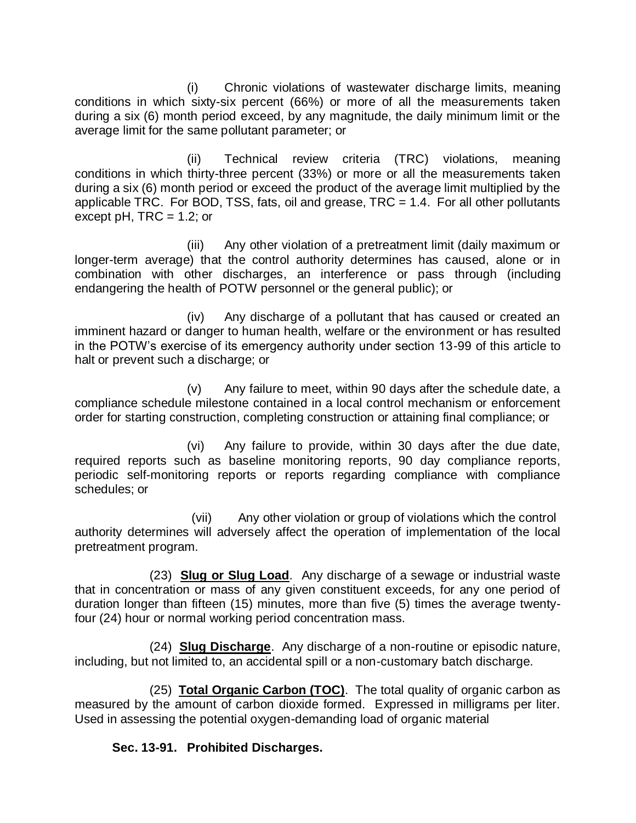(i) Chronic violations of wastewater discharge limits, meaning conditions in which sixty-six percent (66%) or more of all the measurements taken during a six (6) month period exceed, by any magnitude, the daily minimum limit or the average limit for the same pollutant parameter; or

(ii) Technical review criteria (TRC) violations, meaning conditions in which thirty-three percent (33%) or more or all the measurements taken during a six (6) month period or exceed the product of the average limit multiplied by the applicable TRC. For BOD, TSS, fats, oil and grease,  $TRC = 1.4$ . For all other pollutants except pH,  $TRC = 1.2$ ; or

(iii) Any other violation of a pretreatment limit (daily maximum or longer-term average) that the control authority determines has caused, alone or in combination with other discharges, an interference or pass through (including endangering the health of POTW personnel or the general public); or

(iv) Any discharge of a pollutant that has caused or created an imminent hazard or danger to human health, welfare or the environment or has resulted in the POTW's exercise of its emergency authority under section 13-99 of this article to halt or prevent such a discharge; or

(v) Any failure to meet, within 90 days after the schedule date, a compliance schedule milestone contained in a local control mechanism or enforcement order for starting construction, completing construction or attaining final compliance; or

(vi) Any failure to provide, within 30 days after the due date, required reports such as baseline monitoring reports, 90 day compliance reports, periodic self-monitoring reports or reports regarding compliance with compliance schedules; or

(vii) Any other violation or group of violations which the control authority determines will adversely affect the operation of implementation of the local pretreatment program.

(23) **Slug or Slug Load**. Any discharge of a sewage or industrial waste that in concentration or mass of any given constituent exceeds, for any one period of duration longer than fifteen (15) minutes, more than five (5) times the average twentyfour (24) hour or normal working period concentration mass.

(24) **Slug Discharge**. Any discharge of a non-routine or episodic nature, including, but not limited to, an accidental spill or a non-customary batch discharge.

(25) **Total Organic Carbon (TOC)**. The total quality of organic carbon as measured by the amount of carbon dioxide formed. Expressed in milligrams per liter. Used in assessing the potential oxygen-demanding load of organic material

**Sec. 13-91. Prohibited Discharges.**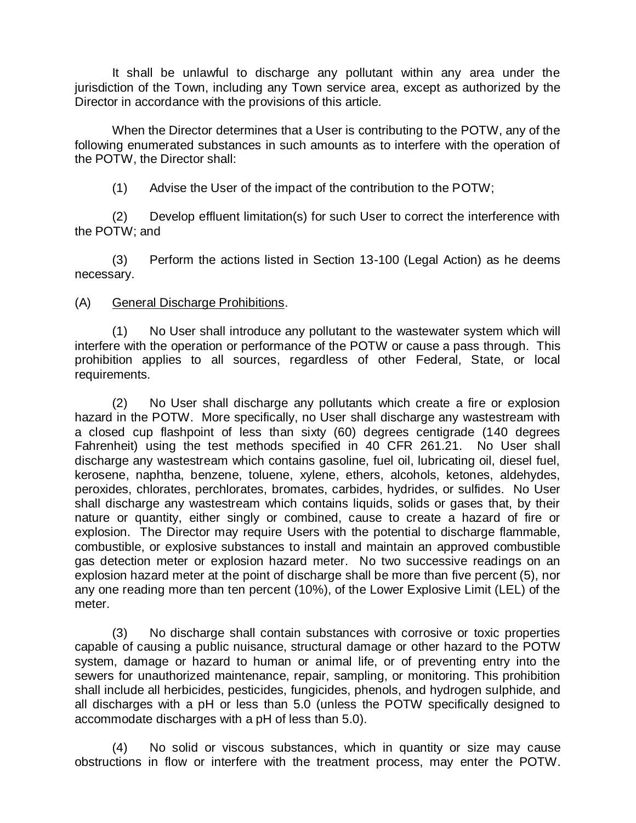It shall be unlawful to discharge any pollutant within any area under the jurisdiction of the Town, including any Town service area, except as authorized by the Director in accordance with the provisions of this article.

When the Director determines that a User is contributing to the POTW, any of the following enumerated substances in such amounts as to interfere with the operation of the POTW, the Director shall:

(1) Advise the User of the impact of the contribution to the POTW;

(2) Develop effluent limitation(s) for such User to correct the interference with the POTW; and

(3) Perform the actions listed in Section 13-100 (Legal Action) as he deems necessary.

# (A) General Discharge Prohibitions.

(1) No User shall introduce any pollutant to the wastewater system which will interfere with the operation or performance of the POTW or cause a pass through. This prohibition applies to all sources, regardless of other Federal, State, or local requirements.

(2) No User shall discharge any pollutants which create a fire or explosion hazard in the POTW. More specifically, no User shall discharge any wastestream with a closed cup flashpoint of less than sixty (60) degrees centigrade (140 degrees Fahrenheit) using the test methods specified in 40 CFR 261.21. No User shall discharge any wastestream which contains gasoline, fuel oil, lubricating oil, diesel fuel, kerosene, naphtha, benzene, toluene, xylene, ethers, alcohols, ketones, aldehydes, peroxides, chlorates, perchlorates, bromates, carbides, hydrides, or sulfides. No User shall discharge any wastestream which contains liquids, solids or gases that, by their nature or quantity, either singly or combined, cause to create a hazard of fire or explosion. The Director may require Users with the potential to discharge flammable, combustible, or explosive substances to install and maintain an approved combustible gas detection meter or explosion hazard meter. No two successive readings on an explosion hazard meter at the point of discharge shall be more than five percent (5), nor any one reading more than ten percent (10%), of the Lower Explosive Limit (LEL) of the meter.

(3) No discharge shall contain substances with corrosive or toxic properties capable of causing a public nuisance, structural damage or other hazard to the POTW system, damage or hazard to human or animal life, or of preventing entry into the sewers for unauthorized maintenance, repair, sampling, or monitoring. This prohibition shall include all herbicides, pesticides, fungicides, phenols, and hydrogen sulphide, and all discharges with a pH or less than 5.0 (unless the POTW specifically designed to accommodate discharges with a pH of less than 5.0).

(4) No solid or viscous substances, which in quantity or size may cause obstructions in flow or interfere with the treatment process, may enter the POTW.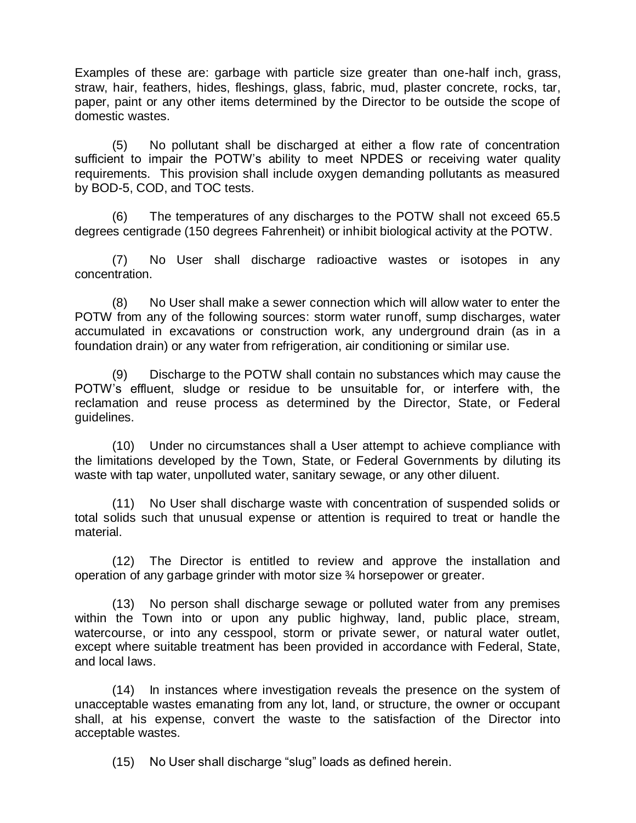Examples of these are: garbage with particle size greater than one-half inch, grass, straw, hair, feathers, hides, fleshings, glass, fabric, mud, plaster concrete, rocks, tar, paper, paint or any other items determined by the Director to be outside the scope of domestic wastes.

(5) No pollutant shall be discharged at either a flow rate of concentration sufficient to impair the POTW's ability to meet NPDES or receiving water quality requirements. This provision shall include oxygen demanding pollutants as measured by BOD-5, COD, and TOC tests.

(6) The temperatures of any discharges to the POTW shall not exceed 65.5 degrees centigrade (150 degrees Fahrenheit) or inhibit biological activity at the POTW.

(7) No User shall discharge radioactive wastes or isotopes in any concentration.

(8) No User shall make a sewer connection which will allow water to enter the POTW from any of the following sources: storm water runoff, sump discharges, water accumulated in excavations or construction work, any underground drain (as in a foundation drain) or any water from refrigeration, air conditioning or similar use.

(9) Discharge to the POTW shall contain no substances which may cause the POTW's effluent, sludge or residue to be unsuitable for, or interfere with, the reclamation and reuse process as determined by the Director, State, or Federal guidelines.

(10) Under no circumstances shall a User attempt to achieve compliance with the limitations developed by the Town, State, or Federal Governments by diluting its waste with tap water, unpolluted water, sanitary sewage, or any other diluent.

(11) No User shall discharge waste with concentration of suspended solids or total solids such that unusual expense or attention is required to treat or handle the material.

(12) The Director is entitled to review and approve the installation and operation of any garbage grinder with motor size ¾ horsepower or greater.

(13) No person shall discharge sewage or polluted water from any premises within the Town into or upon any public highway, land, public place, stream, watercourse, or into any cesspool, storm or private sewer, or natural water outlet, except where suitable treatment has been provided in accordance with Federal, State, and local laws.

(14) In instances where investigation reveals the presence on the system of unacceptable wastes emanating from any lot, land, or structure, the owner or occupant shall, at his expense, convert the waste to the satisfaction of the Director into acceptable wastes.

(15) No User shall discharge "slug" loads as defined herein.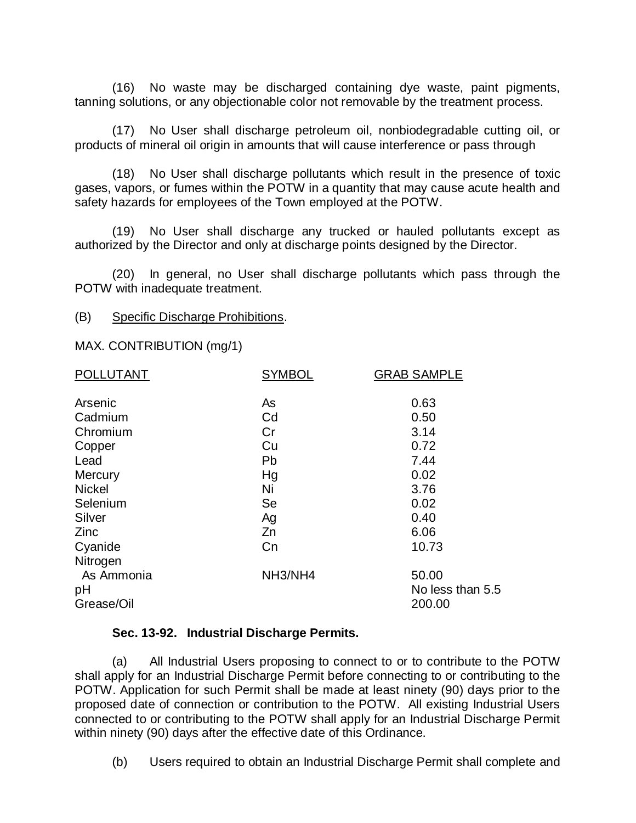(16) No waste may be discharged containing dye waste, paint pigments, tanning solutions, or any objectionable color not removable by the treatment process.

(17) No User shall discharge petroleum oil, nonbiodegradable cutting oil, or products of mineral oil origin in amounts that will cause interference or pass through

(18) No User shall discharge pollutants which result in the presence of toxic gases, vapors, or fumes within the POTW in a quantity that may cause acute health and safety hazards for employees of the Town employed at the POTW.

(19) No User shall discharge any trucked or hauled pollutants except as authorized by the Director and only at discharge points designed by the Director.

(20) In general, no User shall discharge pollutants which pass through the POTW with inadequate treatment.

#### (B) Specific Discharge Prohibitions.

MAX. CONTRIBUTION (mg/1)

| <b>POLLUTANT</b>               | <b>SYMBOL</b> | <b>GRAB SAMPLE</b>                  |
|--------------------------------|---------------|-------------------------------------|
| Arsenic                        | As            | 0.63                                |
| Cadmium                        | Cd            | 0.50                                |
| Chromium                       | Cr            | 3.14                                |
| Copper                         | Cu            | 0.72                                |
| Lead                           | Pb            | 7.44                                |
| Mercury                        | Hg            | 0.02                                |
| <b>Nickel</b>                  | Ni            | 3.76                                |
| Selenium                       | Se            | 0.02                                |
| Silver                         | Ag            | 0.40                                |
| Zinc                           | Zn            | 6.06                                |
| Cyanide                        | Cn            | 10.73                               |
| Nitrogen                       |               |                                     |
| As Ammonia<br>рH<br>Grease/Oil | NH3/NH4       | 50.00<br>No less than 5.5<br>200.00 |
|                                |               |                                     |

#### **Sec. 13-92. Industrial Discharge Permits.**

(a) All Industrial Users proposing to connect to or to contribute to the POTW shall apply for an Industrial Discharge Permit before connecting to or contributing to the POTW. Application for such Permit shall be made at least ninety (90) days prior to the proposed date of connection or contribution to the POTW. All existing Industrial Users connected to or contributing to the POTW shall apply for an Industrial Discharge Permit within ninety (90) days after the effective date of this Ordinance.

(b) Users required to obtain an Industrial Discharge Permit shall complete and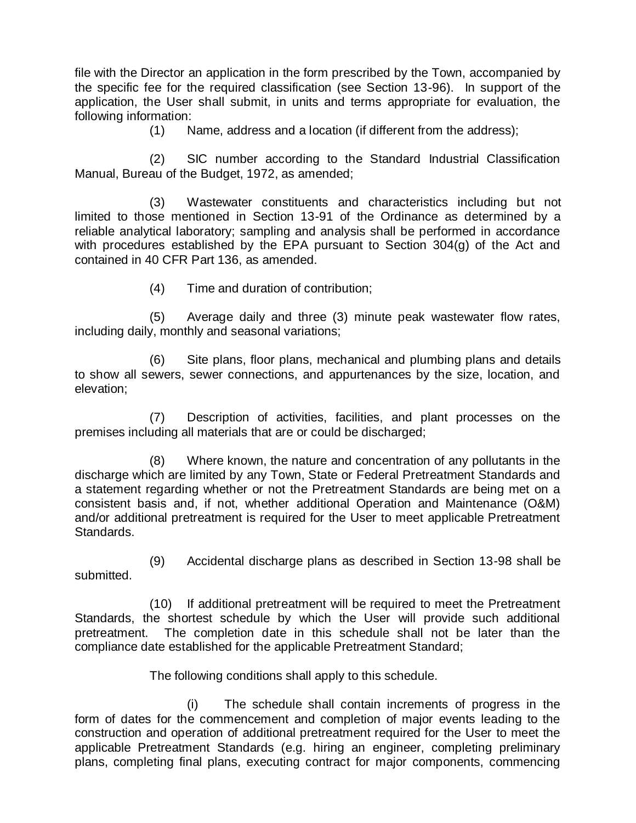file with the Director an application in the form prescribed by the Town, accompanied by the specific fee for the required classification (see Section 13-96). In support of the application, the User shall submit, in units and terms appropriate for evaluation, the following information:

(1) Name, address and a location (if different from the address);

(2) SIC number according to the Standard Industrial Classification Manual, Bureau of the Budget, 1972, as amended;

(3) Wastewater constituents and characteristics including but not limited to those mentioned in Section 13-91 of the Ordinance as determined by a reliable analytical laboratory; sampling and analysis shall be performed in accordance with procedures established by the EPA pursuant to Section 304(g) of the Act and contained in 40 CFR Part 136, as amended.

(4) Time and duration of contribution;

(5) Average daily and three (3) minute peak wastewater flow rates, including daily, monthly and seasonal variations;

(6) Site plans, floor plans, mechanical and plumbing plans and details to show all sewers, sewer connections, and appurtenances by the size, location, and elevation;

(7) Description of activities, facilities, and plant processes on the premises including all materials that are or could be discharged;

(8) Where known, the nature and concentration of any pollutants in the discharge which are limited by any Town, State or Federal Pretreatment Standards and a statement regarding whether or not the Pretreatment Standards are being met on a consistent basis and, if not, whether additional Operation and Maintenance (O&M) and/or additional pretreatment is required for the User to meet applicable Pretreatment Standards.

(9) Accidental discharge plans as described in Section 13-98 shall be submitted.

(10) If additional pretreatment will be required to meet the Pretreatment Standards, the shortest schedule by which the User will provide such additional pretreatment. The completion date in this schedule shall not be later than the compliance date established for the applicable Pretreatment Standard;

The following conditions shall apply to this schedule.

(i) The schedule shall contain increments of progress in the form of dates for the commencement and completion of major events leading to the construction and operation of additional pretreatment required for the User to meet the applicable Pretreatment Standards (e.g. hiring an engineer, completing preliminary plans, completing final plans, executing contract for major components, commencing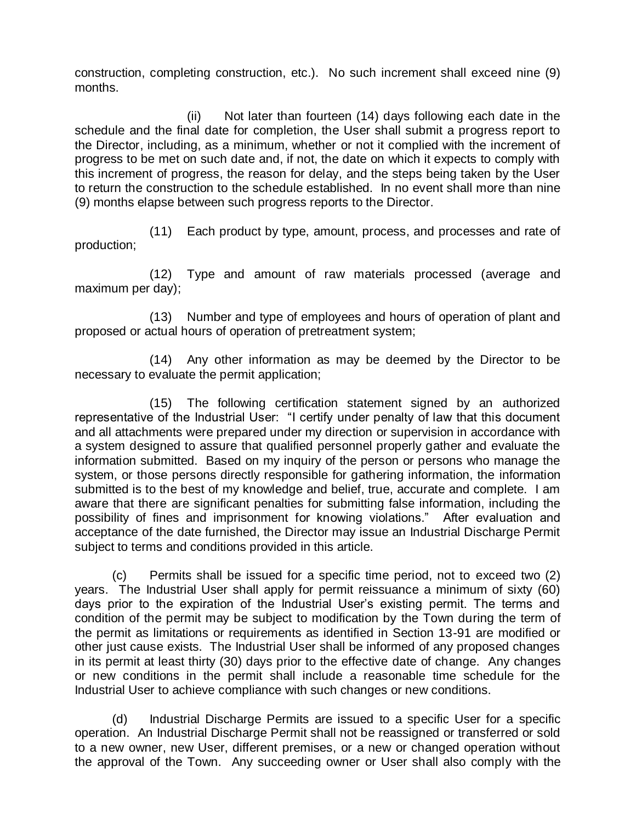construction, completing construction, etc.). No such increment shall exceed nine (9) months.

(ii) Not later than fourteen (14) days following each date in the schedule and the final date for completion, the User shall submit a progress report to the Director, including, as a minimum, whether or not it complied with the increment of progress to be met on such date and, if not, the date on which it expects to comply with this increment of progress, the reason for delay, and the steps being taken by the User to return the construction to the schedule established. In no event shall more than nine (9) months elapse between such progress reports to the Director.

(11) Each product by type, amount, process, and processes and rate of production;

(12) Type and amount of raw materials processed (average and maximum per day);

(13) Number and type of employees and hours of operation of plant and proposed or actual hours of operation of pretreatment system;

(14) Any other information as may be deemed by the Director to be necessary to evaluate the permit application;

(15) The following certification statement signed by an authorized representative of the Industrial User: "I certify under penalty of law that this document and all attachments were prepared under my direction or supervision in accordance with a system designed to assure that qualified personnel properly gather and evaluate the information submitted. Based on my inquiry of the person or persons who manage the system, or those persons directly responsible for gathering information, the information submitted is to the best of my knowledge and belief, true, accurate and complete. I am aware that there are significant penalties for submitting false information, including the possibility of fines and imprisonment for knowing violations." After evaluation and acceptance of the date furnished, the Director may issue an Industrial Discharge Permit subject to terms and conditions provided in this article.

(c) Permits shall be issued for a specific time period, not to exceed two (2) years. The Industrial User shall apply for permit reissuance a minimum of sixty (60) days prior to the expiration of the Industrial User's existing permit. The terms and condition of the permit may be subject to modification by the Town during the term of the permit as limitations or requirements as identified in Section 13-91 are modified or other just cause exists. The Industrial User shall be informed of any proposed changes in its permit at least thirty (30) days prior to the effective date of change. Any changes or new conditions in the permit shall include a reasonable time schedule for the Industrial User to achieve compliance with such changes or new conditions.

(d) Industrial Discharge Permits are issued to a specific User for a specific operation. An Industrial Discharge Permit shall not be reassigned or transferred or sold to a new owner, new User, different premises, or a new or changed operation without the approval of the Town. Any succeeding owner or User shall also comply with the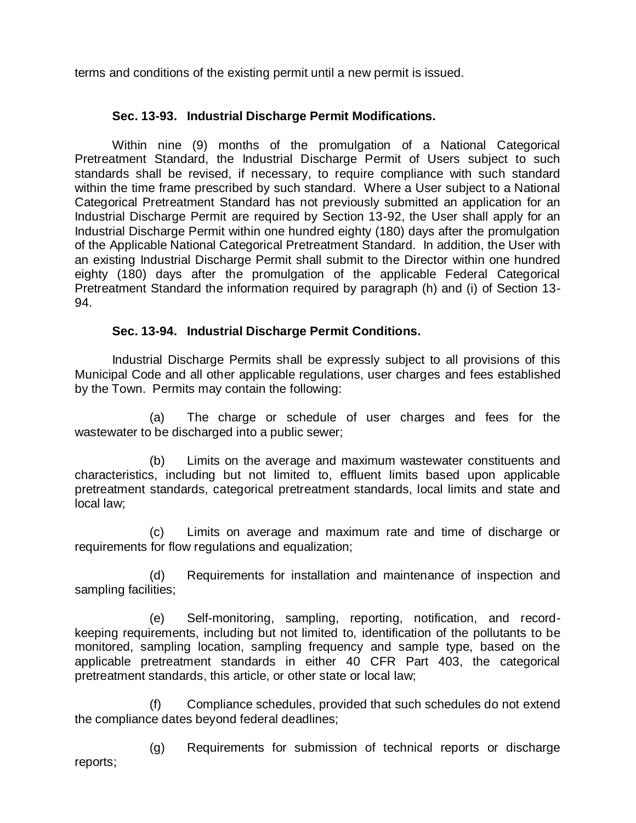terms and conditions of the existing permit until a new permit is issued.

# **Sec. 13-93. Industrial Discharge Permit Modifications.**

Within nine (9) months of the promulgation of a National Categorical Pretreatment Standard, the Industrial Discharge Permit of Users subject to such standards shall be revised, if necessary, to require compliance with such standard within the time frame prescribed by such standard. Where a User subject to a National Categorical Pretreatment Standard has not previously submitted an application for an Industrial Discharge Permit are required by Section 13-92, the User shall apply for an Industrial Discharge Permit within one hundred eighty (180) days after the promulgation of the Applicable National Categorical Pretreatment Standard. In addition, the User with an existing Industrial Discharge Permit shall submit to the Director within one hundred eighty (180) days after the promulgation of the applicable Federal Categorical Pretreatment Standard the information required by paragraph (h) and (i) of Section 13- 94.

## **Sec. 13-94. Industrial Discharge Permit Conditions.**

Industrial Discharge Permits shall be expressly subject to all provisions of this Municipal Code and all other applicable regulations, user charges and fees established by the Town. Permits may contain the following:

(a) The charge or schedule of user charges and fees for the wastewater to be discharged into a public sewer;

(b) Limits on the average and maximum wastewater constituents and characteristics, including but not limited to, effluent limits based upon applicable pretreatment standards, categorical pretreatment standards, local limits and state and local law;

(c) Limits on average and maximum rate and time of discharge or requirements for flow regulations and equalization;

(d) Requirements for installation and maintenance of inspection and sampling facilities;

(e) Self-monitoring, sampling, reporting, notification, and recordkeeping requirements, including but not limited to, identification of the pollutants to be monitored, sampling location, sampling frequency and sample type, based on the applicable pretreatment standards in either 40 CFR Part 403, the categorical pretreatment standards, this article, or other state or local law;

(f) Compliance schedules, provided that such schedules do not extend the compliance dates beyond federal deadlines;

(g) Requirements for submission of technical reports or discharge reports;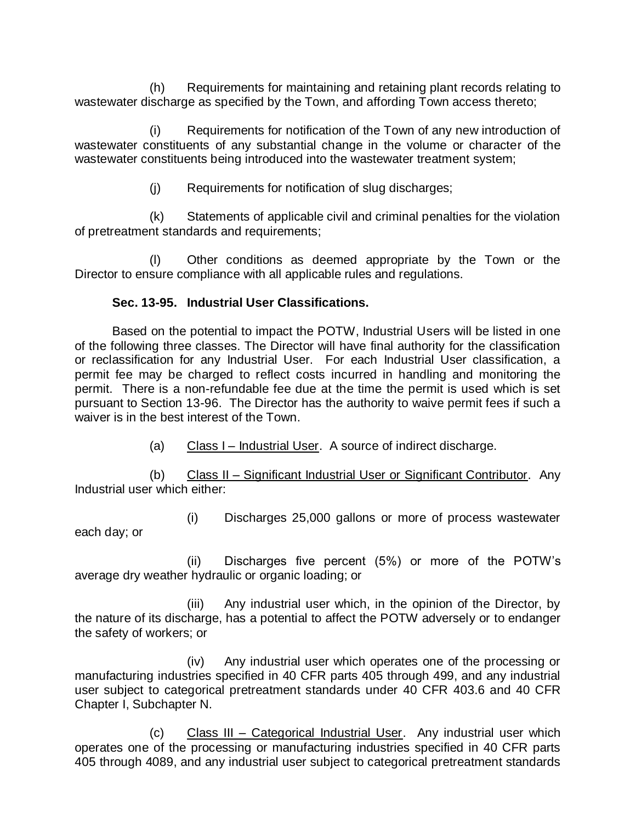(h) Requirements for maintaining and retaining plant records relating to wastewater discharge as specified by the Town, and affording Town access thereto;

(i) Requirements for notification of the Town of any new introduction of wastewater constituents of any substantial change in the volume or character of the wastewater constituents being introduced into the wastewater treatment system;

(j) Requirements for notification of slug discharges;

(k) Statements of applicable civil and criminal penalties for the violation of pretreatment standards and requirements;

(l) Other conditions as deemed appropriate by the Town or the Director to ensure compliance with all applicable rules and regulations.

# **Sec. 13-95. Industrial User Classifications.**

Based on the potential to impact the POTW, Industrial Users will be listed in one of the following three classes. The Director will have final authority for the classification or reclassification for any Industrial User. For each Industrial User classification, a permit fee may be charged to reflect costs incurred in handling and monitoring the permit. There is a non-refundable fee due at the time the permit is used which is set pursuant to Section 13-96. The Director has the authority to waive permit fees if such a waiver is in the best interest of the Town.

(a) Class I – Industrial User. A source of indirect discharge.

(b) Class II – Significant Industrial User or Significant Contributor. Any Industrial user which either:

(i) Discharges 25,000 gallons or more of process wastewater each day; or

(ii) Discharges five percent (5%) or more of the POTW's average dry weather hydraulic or organic loading; or

(iii) Any industrial user which, in the opinion of the Director, by the nature of its discharge, has a potential to affect the POTW adversely or to endanger the safety of workers; or

(iv) Any industrial user which operates one of the processing or manufacturing industries specified in 40 CFR parts 405 through 499, and any industrial user subject to categorical pretreatment standards under 40 CFR 403.6 and 40 CFR Chapter I, Subchapter N.

(c) Class III – Categorical Industrial User. Any industrial user which operates one of the processing or manufacturing industries specified in 40 CFR parts 405 through 4089, and any industrial user subject to categorical pretreatment standards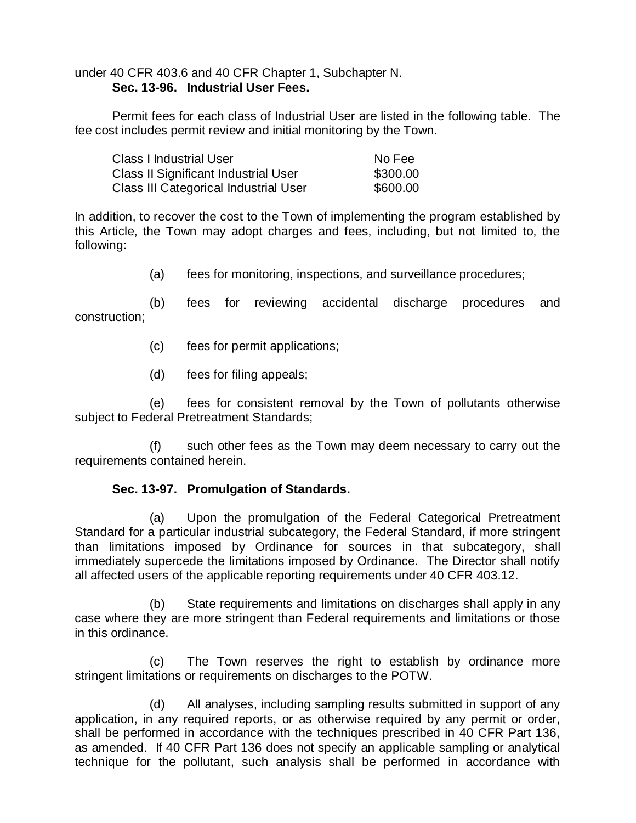under 40 CFR 403.6 and 40 CFR Chapter 1, Subchapter N. **Sec. 13-96. Industrial User Fees.** 

Permit fees for each class of Industrial User are listed in the following table. The fee cost includes permit review and initial monitoring by the Town.

| <b>Class I Industrial User</b>              | No Fee   |
|---------------------------------------------|----------|
| <b>Class II Significant Industrial User</b> | \$300.00 |
| Class III Categorical Industrial User       | \$600.00 |

In addition, to recover the cost to the Town of implementing the program established by this Article, the Town may adopt charges and fees, including, but not limited to, the following:

(a) fees for monitoring, inspections, and surveillance procedures;

(b) fees for reviewing accidental discharge procedures and construction;

- (c) fees for permit applications;
- (d) fees for filing appeals;

(e) fees for consistent removal by the Town of pollutants otherwise subject to Federal Pretreatment Standards;

(f) such other fees as the Town may deem necessary to carry out the requirements contained herein.

# **Sec. 13-97. Promulgation of Standards.**

(a) Upon the promulgation of the Federal Categorical Pretreatment Standard for a particular industrial subcategory, the Federal Standard, if more stringent than limitations imposed by Ordinance for sources in that subcategory, shall immediately supercede the limitations imposed by Ordinance. The Director shall notify all affected users of the applicable reporting requirements under 40 CFR 403.12.

(b) State requirements and limitations on discharges shall apply in any case where they are more stringent than Federal requirements and limitations or those in this ordinance.

(c) The Town reserves the right to establish by ordinance more stringent limitations or requirements on discharges to the POTW.

(d) All analyses, including sampling results submitted in support of any application, in any required reports, or as otherwise required by any permit or order, shall be performed in accordance with the techniques prescribed in 40 CFR Part 136, as amended. If 40 CFR Part 136 does not specify an applicable sampling or analytical technique for the pollutant, such analysis shall be performed in accordance with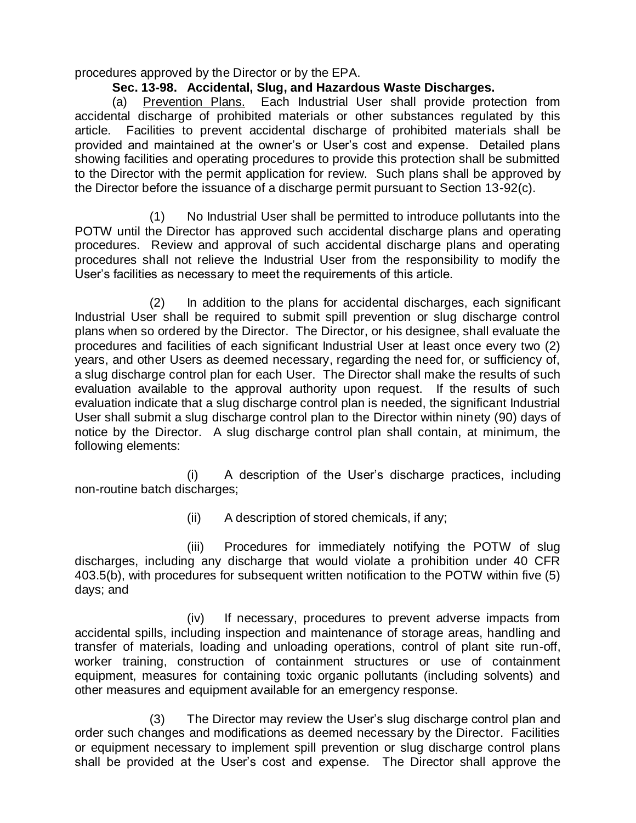procedures approved by the Director or by the EPA.

# **Sec. 13-98. Accidental, Slug, and Hazardous Waste Discharges.**

(a) Prevention Plans. Each Industrial User shall provide protection from accidental discharge of prohibited materials or other substances regulated by this article. Facilities to prevent accidental discharge of prohibited materials shall be provided and maintained at the owner's or User's cost and expense. Detailed plans showing facilities and operating procedures to provide this protection shall be submitted to the Director with the permit application for review. Such plans shall be approved by the Director before the issuance of a discharge permit pursuant to Section 13-92(c).

(1) No Industrial User shall be permitted to introduce pollutants into the POTW until the Director has approved such accidental discharge plans and operating procedures. Review and approval of such accidental discharge plans and operating procedures shall not relieve the Industrial User from the responsibility to modify the User's facilities as necessary to meet the requirements of this article.

(2) In addition to the plans for accidental discharges, each significant Industrial User shall be required to submit spill prevention or slug discharge control plans when so ordered by the Director. The Director, or his designee, shall evaluate the procedures and facilities of each significant Industrial User at least once every two (2) years, and other Users as deemed necessary, regarding the need for, or sufficiency of, a slug discharge control plan for each User. The Director shall make the results of such evaluation available to the approval authority upon request. If the results of such evaluation indicate that a slug discharge control plan is needed, the significant Industrial User shall submit a slug discharge control plan to the Director within ninety (90) days of notice by the Director. A slug discharge control plan shall contain, at minimum, the following elements:

(i) A description of the User's discharge practices, including non-routine batch discharges;

(ii) A description of stored chemicals, if any;

(iii) Procedures for immediately notifying the POTW of slug discharges, including any discharge that would violate a prohibition under 40 CFR 403.5(b), with procedures for subsequent written notification to the POTW within five (5) days; and

(iv) If necessary, procedures to prevent adverse impacts from accidental spills, including inspection and maintenance of storage areas, handling and transfer of materials, loading and unloading operations, control of plant site run-off, worker training, construction of containment structures or use of containment equipment, measures for containing toxic organic pollutants (including solvents) and other measures and equipment available for an emergency response.

(3) The Director may review the User's slug discharge control plan and order such changes and modifications as deemed necessary by the Director. Facilities or equipment necessary to implement spill prevention or slug discharge control plans shall be provided at the User's cost and expense. The Director shall approve the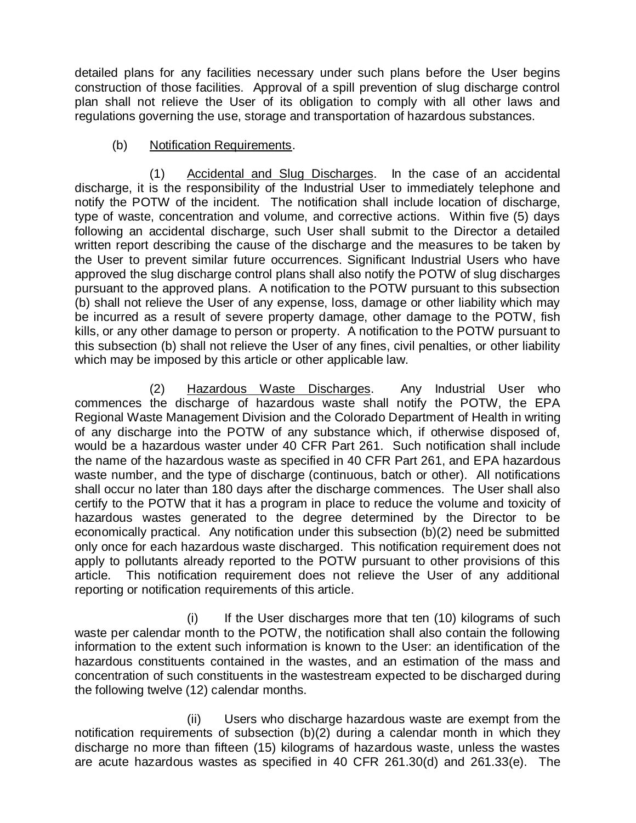detailed plans for any facilities necessary under such plans before the User begins construction of those facilities. Approval of a spill prevention of slug discharge control plan shall not relieve the User of its obligation to comply with all other laws and regulations governing the use, storage and transportation of hazardous substances.

# (b) Notification Requirements.

(1) Accidental and Slug Discharges. In the case of an accidental discharge, it is the responsibility of the Industrial User to immediately telephone and notify the POTW of the incident. The notification shall include location of discharge, type of waste, concentration and volume, and corrective actions. Within five (5) days following an accidental discharge, such User shall submit to the Director a detailed written report describing the cause of the discharge and the measures to be taken by the User to prevent similar future occurrences. Significant Industrial Users who have approved the slug discharge control plans shall also notify the POTW of slug discharges pursuant to the approved plans. A notification to the POTW pursuant to this subsection (b) shall not relieve the User of any expense, loss, damage or other liability which may be incurred as a result of severe property damage, other damage to the POTW, fish kills, or any other damage to person or property. A notification to the POTW pursuant to this subsection (b) shall not relieve the User of any fines, civil penalties, or other liability which may be imposed by this article or other applicable law.

(2) Hazardous Waste Discharges. Any Industrial User who commences the discharge of hazardous waste shall notify the POTW, the EPA Regional Waste Management Division and the Colorado Department of Health in writing of any discharge into the POTW of any substance which, if otherwise disposed of, would be a hazardous waster under 40 CFR Part 261. Such notification shall include the name of the hazardous waste as specified in 40 CFR Part 261, and EPA hazardous waste number, and the type of discharge (continuous, batch or other). All notifications shall occur no later than 180 days after the discharge commences. The User shall also certify to the POTW that it has a program in place to reduce the volume and toxicity of hazardous wastes generated to the degree determined by the Director to be economically practical. Any notification under this subsection (b)(2) need be submitted only once for each hazardous waste discharged. This notification requirement does not apply to pollutants already reported to the POTW pursuant to other provisions of this article. This notification requirement does not relieve the User of any additional reporting or notification requirements of this article.

(i) If the User discharges more that ten (10) kilograms of such waste per calendar month to the POTW, the notification shall also contain the following information to the extent such information is known to the User: an identification of the hazardous constituents contained in the wastes, and an estimation of the mass and concentration of such constituents in the wastestream expected to be discharged during the following twelve (12) calendar months.

(ii) Users who discharge hazardous waste are exempt from the notification requirements of subsection (b)(2) during a calendar month in which they discharge no more than fifteen (15) kilograms of hazardous waste, unless the wastes are acute hazardous wastes as specified in 40 CFR 261.30(d) and 261.33(e). The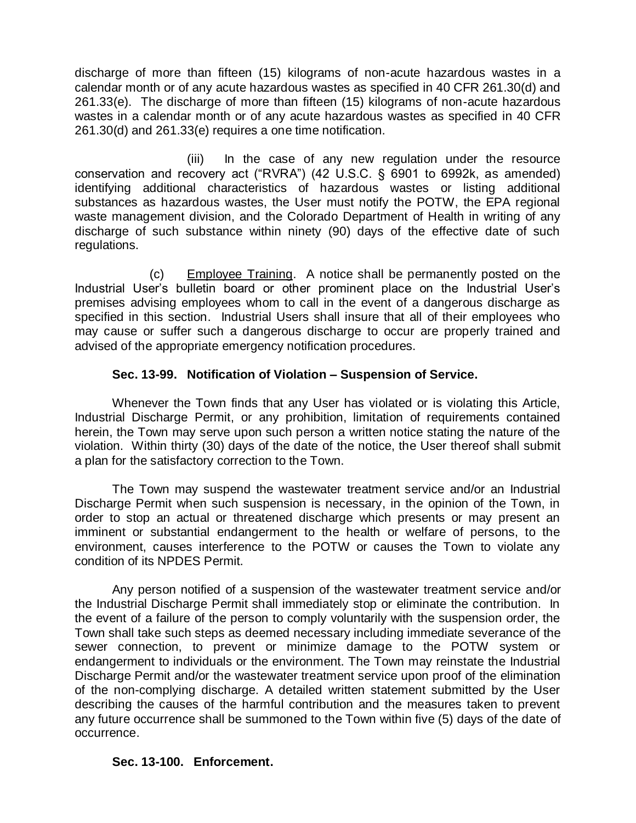discharge of more than fifteen (15) kilograms of non-acute hazardous wastes in a calendar month or of any acute hazardous wastes as specified in 40 CFR 261.30(d) and 261.33(e). The discharge of more than fifteen (15) kilograms of non-acute hazardous wastes in a calendar month or of any acute hazardous wastes as specified in 40 CFR 261.30(d) and 261.33(e) requires a one time notification.

(iii) In the case of any new regulation under the resource conservation and recovery act ("RVRA") (42 U.S.C. § 6901 to 6992k, as amended) identifying additional characteristics of hazardous wastes or listing additional substances as hazardous wastes, the User must notify the POTW, the EPA regional waste management division, and the Colorado Department of Health in writing of any discharge of such substance within ninety (90) days of the effective date of such regulations.

(c) Employee Training. A notice shall be permanently posted on the Industrial User's bulletin board or other prominent place on the Industrial User's premises advising employees whom to call in the event of a dangerous discharge as specified in this section. Industrial Users shall insure that all of their employees who may cause or suffer such a dangerous discharge to occur are properly trained and advised of the appropriate emergency notification procedures.

## **Sec. 13-99. Notification of Violation – Suspension of Service.**

Whenever the Town finds that any User has violated or is violating this Article, Industrial Discharge Permit, or any prohibition, limitation of requirements contained herein, the Town may serve upon such person a written notice stating the nature of the violation. Within thirty (30) days of the date of the notice, the User thereof shall submit a plan for the satisfactory correction to the Town.

The Town may suspend the wastewater treatment service and/or an Industrial Discharge Permit when such suspension is necessary, in the opinion of the Town, in order to stop an actual or threatened discharge which presents or may present an imminent or substantial endangerment to the health or welfare of persons, to the environment, causes interference to the POTW or causes the Town to violate any condition of its NPDES Permit.

Any person notified of a suspension of the wastewater treatment service and/or the Industrial Discharge Permit shall immediately stop or eliminate the contribution. In the event of a failure of the person to comply voluntarily with the suspension order, the Town shall take such steps as deemed necessary including immediate severance of the sewer connection, to prevent or minimize damage to the POTW system or endangerment to individuals or the environment. The Town may reinstate the Industrial Discharge Permit and/or the wastewater treatment service upon proof of the elimination of the non-complying discharge. A detailed written statement submitted by the User describing the causes of the harmful contribution and the measures taken to prevent any future occurrence shall be summoned to the Town within five (5) days of the date of occurrence.

# **Sec. 13-100. Enforcement.**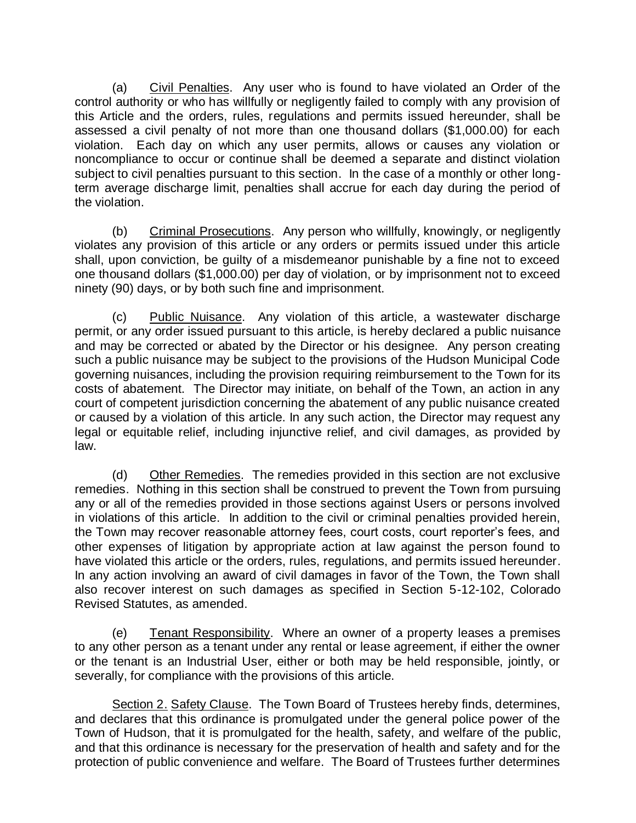(a) Civil Penalties. Any user who is found to have violated an Order of the control authority or who has willfully or negligently failed to comply with any provision of this Article and the orders, rules, regulations and permits issued hereunder, shall be assessed a civil penalty of not more than one thousand dollars (\$1,000.00) for each violation. Each day on which any user permits, allows or causes any violation or noncompliance to occur or continue shall be deemed a separate and distinct violation subject to civil penalties pursuant to this section. In the case of a monthly or other longterm average discharge limit, penalties shall accrue for each day during the period of the violation.

(b) Criminal Prosecutions. Any person who willfully, knowingly, or negligently violates any provision of this article or any orders or permits issued under this article shall, upon conviction, be guilty of a misdemeanor punishable by a fine not to exceed one thousand dollars (\$1,000.00) per day of violation, or by imprisonment not to exceed ninety (90) days, or by both such fine and imprisonment.

(c) Public Nuisance. Any violation of this article, a wastewater discharge permit, or any order issued pursuant to this article, is hereby declared a public nuisance and may be corrected or abated by the Director or his designee. Any person creating such a public nuisance may be subject to the provisions of the Hudson Municipal Code governing nuisances, including the provision requiring reimbursement to the Town for its costs of abatement. The Director may initiate, on behalf of the Town, an action in any court of competent jurisdiction concerning the abatement of any public nuisance created or caused by a violation of this article. In any such action, the Director may request any legal or equitable relief, including injunctive relief, and civil damages, as provided by law.

(d) Other Remedies. The remedies provided in this section are not exclusive remedies. Nothing in this section shall be construed to prevent the Town from pursuing any or all of the remedies provided in those sections against Users or persons involved in violations of this article. In addition to the civil or criminal penalties provided herein, the Town may recover reasonable attorney fees, court costs, court reporter's fees, and other expenses of litigation by appropriate action at law against the person found to have violated this article or the orders, rules, regulations, and permits issued hereunder. In any action involving an award of civil damages in favor of the Town, the Town shall also recover interest on such damages as specified in Section 5-12-102, Colorado Revised Statutes, as amended.

(e) Tenant Responsibility. Where an owner of a property leases a premises to any other person as a tenant under any rental or lease agreement, if either the owner or the tenant is an Industrial User, either or both may be held responsible, jointly, or severally, for compliance with the provisions of this article.

Section 2. Safety Clause. The Town Board of Trustees hereby finds, determines, and declares that this ordinance is promulgated under the general police power of the Town of Hudson, that it is promulgated for the health, safety, and welfare of the public, and that this ordinance is necessary for the preservation of health and safety and for the protection of public convenience and welfare. The Board of Trustees further determines